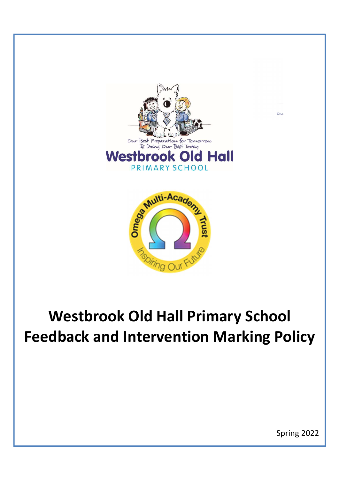



# Westbrook Old Hall Primary School Feedback and Intervention Marking Policy

Spring 2022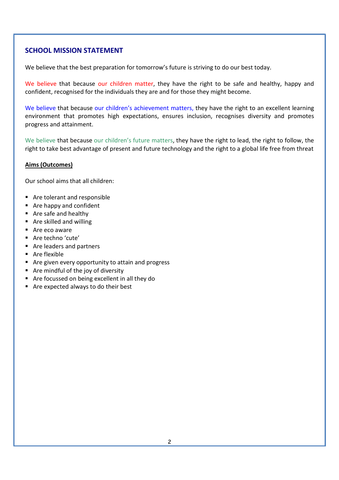# SCHOOL MISSION STATEMENT

We believe that the best preparation for tomorrow's future is striving to do our best today.

We believe that because our children matter, they have the right to be safe and healthy, happy and confident, recognised for the individuals they are and for those they might become.

We believe that because our children's achievement matters, they have the right to an excellent learning environment that promotes high expectations, ensures inclusion, recognises diversity and promotes progress and attainment.

We believe that because our children's future matters, they have the right to lead, the right to follow, the right to take best advantage of present and future technology and the right to a global life free from threat

#### Aims (Outcomes)

Our school aims that all children:

- Are tolerant and responsible
- Are happy and confident
- Are safe and healthy
- Are skilled and willing
- Are eco aware
- Are techno 'cute'
- Are leaders and partners
- Are flexible
- Are given every opportunity to attain and progress
- $\blacksquare$  Are mindful of the joy of diversity
- Are focussed on being excellent in all they do
- Are expected always to do their best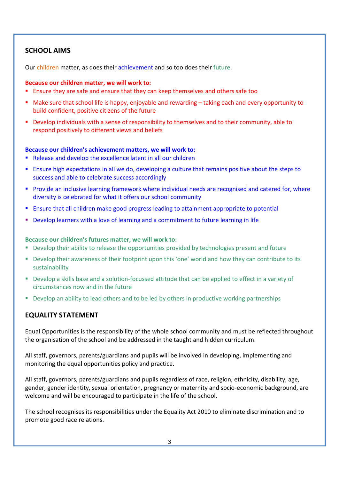# SCHOOL AIMS

Our children matter, as does their achievement and so too does their future.

#### Because our children matter, we will work to:

- **Ensure they are safe and ensure that they can keep themselves and others safe too**
- Make sure that school life is happy, enjoyable and rewarding taking each and every opportunity to build confident, positive citizens of the future
- Develop individuals with a sense of responsibility to themselves and to their community, able to respond positively to different views and beliefs

#### Because our children's achievement matters, we will work to:

- Release and develop the excellence latent in all our children
- Ensure high expectations in all we do, developing a culture that remains positive about the steps to success and able to celebrate success accordingly
- **Provide an inclusive learning framework where individual needs are recognised and catered for, where** diversity is celebrated for what it offers our school community
- **Ensure that all children make good progress leading to attainment appropriate to potential**
- Develop learners with a love of learning and a commitment to future learning in life

#### Because our children's futures matter, we will work to:

- Develop their ability to release the opportunities provided by technologies present and future
- Develop their awareness of their footprint upon this 'one' world and how they can contribute to its sustainability
- Develop a skills base and a solution-focussed attitude that can be applied to effect in a variety of circumstances now and in the future
- Develop an ability to lead others and to be led by others in productive working partnerships

## EQUALITY STATEMENT

Equal Opportunities is the responsibility of the whole school community and must be reflected throughout the organisation of the school and be addressed in the taught and hidden curriculum.

All staff, governors, parents/guardians and pupils will be involved in developing, implementing and monitoring the equal opportunities policy and practice.

All staff, governors, parents/guardians and pupils regardless of race, religion, ethnicity, disability, age, gender, gender identity, sexual orientation, pregnancy or maternity and socio-economic background, are welcome and will be encouraged to participate in the life of the school.

The school recognises its responsibilities under the Equality Act 2010 to eliminate discrimination and to promote good race relations.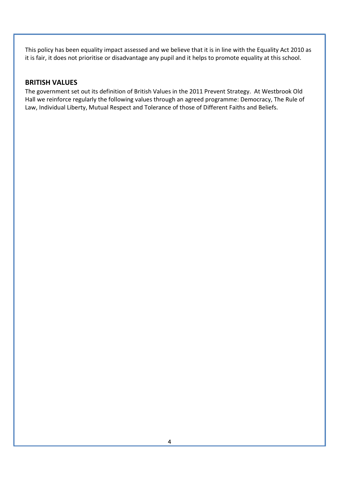This policy has been equality impact assessed and we believe that it is in line with the Equality Act 2010 as it is fair, it does not prioritise or disadvantage any pupil and it helps to promote equality at this school.

## BRITISH VALUES

The government set out its definition of British Values in the 2011 Prevent Strategy. At Westbrook Old Hall we reinforce regularly the following values through an agreed programme: Democracy, The Rule of Law, Individual Liberty, Mutual Respect and Tolerance of those of Different Faiths and Beliefs.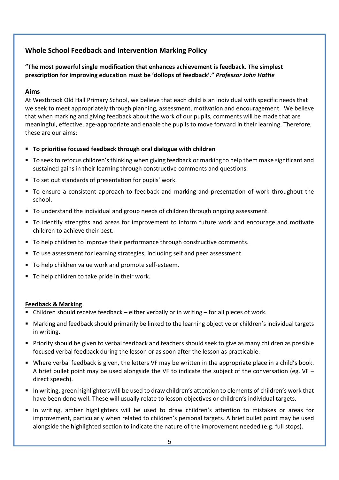# Whole School Feedback and Intervention Marking Policy

### "The most powerful single modification that enhances achievement is feedback. The simplest prescription for improving education must be 'dollops of feedback'." Professor John Hattie

#### Aims

At Westbrook Old Hall Primary School, we believe that each child is an individual with specific needs that we seek to meet appropriately through planning, assessment, motivation and encouragement. We believe that when marking and giving feedback about the work of our pupils, comments will be made that are meaningful, effective, age-appropriate and enable the pupils to move forward in their learning. Therefore, these are our aims:

- To prioritise focused feedback through oral dialogue with children
- To seek to refocus children's thinking when giving feedback or marking to help them make significant and sustained gains in their learning through constructive comments and questions.
- To set out standards of presentation for pupils' work.
- To ensure a consistent approach to feedback and marking and presentation of work throughout the school.
- To understand the individual and group needs of children through ongoing assessment.
- To identify strengths and areas for improvement to inform future work and encourage and motivate children to achieve their best.
- To help children to improve their performance through constructive comments.
- To use assessment for learning strategies, including self and peer assessment.
- To help children value work and promote self-esteem.
- To help children to take pride in their work.

#### Feedback & Marking

- Children should receive feedback either verbally or in writing for all pieces of work.
- Marking and feedback should primarily be linked to the learning objective or children's individual targets in writing.
- Priority should be given to verbal feedback and teachers should seek to give as many children as possible focused verbal feedback during the lesson or as soon after the lesson as practicable.
- Where verbal feedback is given, the letters VF may be written in the appropriate place in a child's book. A brief bullet point may be used alongside the VF to indicate the subject of the conversation (eg.  $VF$ direct speech).
- In writing, green highlighters will be used to draw children's attention to elements of children's work that have been done well. These will usually relate to lesson objectives or children's individual targets.
- In writing, amber highlighters will be used to draw children's attention to mistakes or areas for improvement, particularly when related to children's personal targets. A brief bullet point may be used alongside the highlighted section to indicate the nature of the improvement needed (e.g. full stops).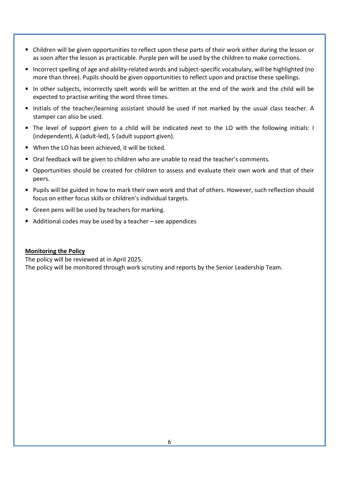- Children will be given opportunities to reflect upon these parts of their work either during the lesson or as soon after the lesson as practicable. Purple pen will be used by the children to make corrections.
- Incorrect spelling of age and ability-related words and subject-specific vocabulary, will be highlighted (no more than three). Pupils should be given opportunities to reflect upon and practise these spellings.
- In other subjects, incorrectly spelt words will be written at the end of the work and the child will be expected to practise writing the word three times.
- Initials of the teacher/learning assistant should be used if not marked by the usual class teacher. A stamper can also be used.
- The level of support given to a child will be indicated next to the LO with the following initials: I (independent), A (adult-led), S (adult support given).
- When the LO has been achieved, it will be ticked.
- Oral feedback will be given to children who are unable to read the teacher's comments.
- Opportunities should be created for children to assess and evaluate their own work and that of their peers.
- **Pupils will be guided in how to mark their own work and that of others. However, such reflection should** focus on either focus skills or children's individual targets.
- Green pens will be used by teachers for marking.
- $\blacksquare$  Additional codes may be used by a teacher see appendices

#### Monitoring the Policy

The policy will be reviewed at in April 2025.

The policy will be monitored through work scrutiny and reports by the Senior Leadership Team.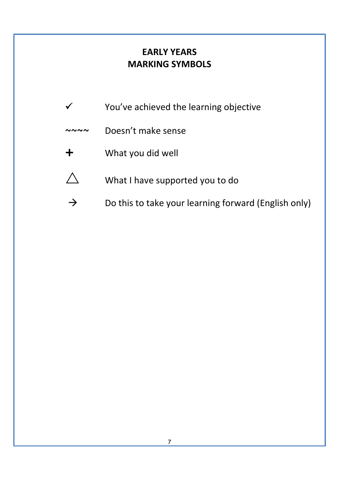# EARLY YEARS MARKING SYMBOLS

- $\checkmark$  You've achieved the learning objective
- ~~~~ Doesn't make sense
- What you did well
- $\triangle$  What I have supported you to do
- $\rightarrow$  Do this to take your learning forward (English only)